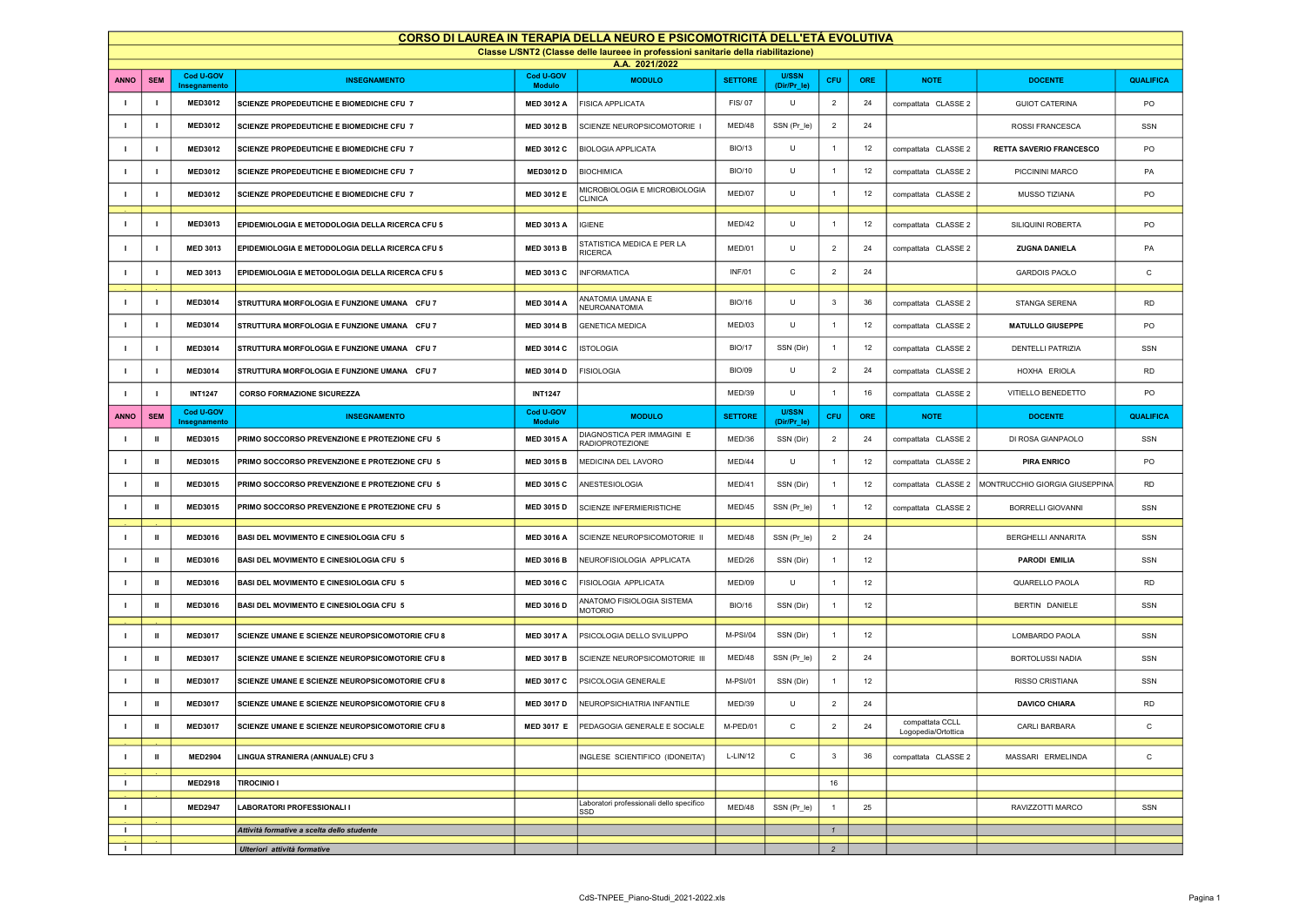| CORSO DI LAUREA IN TERAPIA DELLA NEURO E PSICOMOTRICITÁ DELL'ETÁ EVOLUTIVA         |                |                           |                                                        |                            |                                                      |                 |                             |                         |            |                                        |                                |                  |
|------------------------------------------------------------------------------------|----------------|---------------------------|--------------------------------------------------------|----------------------------|------------------------------------------------------|-----------------|-----------------------------|-------------------------|------------|----------------------------------------|--------------------------------|------------------|
| Classe L/SNT2 (Classe delle laureee in professioni sanitarie della riabilitazione) |                |                           |                                                        |                            |                                                      |                 |                             |                         |            |                                        |                                |                  |
|                                                                                    |                | Cod U-GOV                 |                                                        | Cod U-GOV                  | A.A. 2021/2022                                       |                 | <b>U/SSN</b>                |                         |            |                                        |                                |                  |
| <b>OMMA</b>                                                                        | <b>SEM</b>     | Insegnamento              | <b>INSEGNAMENTO</b>                                    | <b>Modulo</b>              | <b>MODULO</b>                                        | <b>SETTORE</b>  | (Dir/Pr_le)                 | CFU                     | <b>ORE</b> | <b>NOTE</b>                            | <b>DOCENTE</b>                 | <b>QUALIFICA</b> |
| $\mathbf{I}$                                                                       | $\blacksquare$ | <b>MED3012</b>            | SCIENZE PROPEDEUTICHE E BIOMEDICHE CFU 7               | <b>MED 3012 A</b>          | <b>FISICA APPLICATA</b>                              | FIS/07          | U                           | $\overline{2}$          | 24         | compattata CLASSE 2                    | <b>GUIOT CATERINA</b>          | PO               |
| $\mathbf{I}$                                                                       | $\mathbf{I}$   | <b>MED3012</b>            | SCIENZE PROPEDEUTICHE E BIOMEDICHE CFU 7               | <b>MED 3012 B</b>          | SCIENZE NEUROPSICOMOTORIE                            | MED/48          | SSN (Pr_le)                 | $\overline{2}$          | 24         |                                        | ROSSI FRANCESCA                | SSN              |
| $\mathbf{I}$                                                                       | $\blacksquare$ | <b>MED3012</b>            | SCIENZE PROPEDEUTICHE E BIOMEDICHE CFU 7               | <b>MED 3012 C</b>          | <b>BIOLOGIA APPLICATA</b>                            | <b>BIO/13</b>   | U                           | $\overline{1}$          | 12         | compattata CLASSE 2                    | <b>RETTA SAVERIO FRANCESCO</b> | PO               |
| $\blacksquare$                                                                     | $\blacksquare$ | <b>MED3012</b>            | SCIENZE PROPEDEUTICHE E BIOMEDICHE CFU 7               | <b>MED3012 D</b>           | <b>BIOCHIMICA</b>                                    | <b>BIO/10</b>   | U                           | $\overline{1}$          | 12         | compattata CLASSE 2                    | PICCININI MARCO                | PA               |
| л.                                                                                 | $\blacksquare$ | <b>MED3012</b>            | <b>SCIENZE PROPEDEUTICHE E BIOMEDICHE CFU 7</b>        | <b>MED 3012 E</b>          | MICROBIOLOGIA E MICROBIOLOGIA<br><b>CLINICA</b>      | MED/07          | U                           | $\overline{1}$          | 12         | compattata CLASSE 2                    | MUSSO TIZIANA                  | PO               |
| $\mathbf{I}$                                                                       | $\mathbf{I}$   | <b>MED3013</b>            | EPIDEMIOLOGIA E METODOLOGIA DELLA RICERCA CFU 5        | <b>MED 3013 A</b>          | <b>IGIENE</b>                                        | MED/42          | U                           | $\overline{1}$          | 12         | compattata CLASSE 2                    | SILIQUINI ROBERTA              | PO               |
| $\blacksquare$                                                                     | $\blacksquare$ | <b>MED 3013</b>           | EPIDEMIOLOGIA E METODOLOGIA DELLA RICERCA CFU 5        | <b>MED 3013 B</b>          | STATISTICA MEDICA E PER LA<br><b>RICERCA</b>         | MED/01          | U                           | $\overline{2}$          | 24         | compattata CLASSE 2                    | <b>ZUGNA DANIELA</b>           | PA               |
| $\blacksquare$                                                                     | $\blacksquare$ | <b>MED 3013</b>           | EPIDEMIOLOGIA E METODOLOGIA DELLA RICERCA CFU 5        | <b>MED 3013 C</b>          | <b>INFORMATICA</b>                                   | <b>INF/01</b>   | С                           | $\overline{2}$          | 24         |                                        | <b>GARDOIS PAOLO</b>           | C                |
| $\mathbf{I}$                                                                       | J.             | <b>MED3014</b>            | STRUTTURA MORFOLOGIA E FUNZIONE UMANA CFU 7            | <b>MED 3014 A</b>          | ANATOMIA UMANA E<br>NEUROANATOMIA                    | <b>BIO/16</b>   | U                           | $\overline{\mathbf{3}}$ | 36         | compattata CLASSE 2                    | STANGA SERENA                  | <b>RD</b>        |
| $\mathbf{I}$                                                                       | $\blacksquare$ | <b>MED3014</b>            | STRUTTURA MORFOLOGIA E FUNZIONE UMANA CFU 7            | <b>MED 3014 B</b>          | <b>GENETICA MEDICA</b>                               | MED/03          | U                           | $\overline{1}$          | 12         | compattata CLASSE 2                    | <b>MATULLO GIUSEPPE</b>        | PO               |
| $\mathbf{I}$                                                                       | $\mathbf{I}$   | <b>MED3014</b>            | STRUTTURA MORFOLOGIA E FUNZIONE UMANA CFU 7            | <b>MED 3014 C</b>          | <b>ISTOLOGIA</b>                                     | <b>BIO/17</b>   | SSN (Dir)                   | $\overline{1}$          | 12         | compattata CLASSE 2                    | <b>DENTELLI PATRIZIA</b>       | SSN              |
| $\mathbf{I}$                                                                       | $\blacksquare$ | <b>MED3014</b>            | STRUTTURA MORFOLOGIA E FUNZIONE UMANA CFU 7            | <b>MED 3014 D</b>          | <b>FISIOLOGIA</b>                                    | <b>BIO/09</b>   | U                           | $\overline{2}$          | 24         | compattata CLASSE 2                    | HOXHA ERIOLA                   | <b>RD</b>        |
| $\blacksquare$                                                                     | $\blacksquare$ | <b>INT1247</b>            | <b>CORSO FORMAZIONE SICUREZZA</b>                      | <b>INT1247</b>             |                                                      | MED/39          | U                           | $\overline{1}$          | 16         | compattata CLASSE 2                    | VITIELLO BENEDETTO             | PO               |
| <b>OMMA</b>                                                                        | <b>SEM</b>     | Cod U-GOV<br>Insegnamento | <b>INSEGNAMENTO</b>                                    | Cod U-GOV<br><b>Modulo</b> | <b>MODULO</b>                                        | <b>SETTORE</b>  | <b>U/SSN</b><br>(Dir/Pr_le) | <b>CFU</b>              | ORE        | <b>NOTE</b>                            | <b>DOCENTE</b>                 | <b>QUALIFICA</b> |
| $\mathbf{I}$                                                                       | $\mathbf{u}$   | MED3015                   | PRIMO SOCCORSO PREVENZIONE E PROTEZIONE CFU 5          | <b>MED 3015 A</b>          | DIAGNOSTICA PER IMMAGINI E<br><b>RADIOPROTEZIONE</b> | MED/36          | SSN (Dir)                   | $\overline{2}$          | 24         | compattata CLASSE 2                    | DI ROSA GIANPAOLO              | SSN              |
| $\blacksquare$                                                                     | $\mathbf{u}$   | MED3015                   | PRIMO SOCCORSO PREVENZIONE E PROTEZIONE CFU 5          | <b>MED 3015 B</b>          | MEDICINA DEL LAVORO                                  | MED/44          | U                           | $\overline{1}$          | 12         | compattata CLASSE 2                    | <b>PIRA ENRICO</b>             | PO               |
| $\mathbf{I}$                                                                       | $\mathbf{u}$   | <b>MED3015</b>            | PRIMO SOCCORSO PREVENZIONE E PROTEZIONE CFU 5          | <b>MED 3015 C</b>          | ANESTESIOLOGIA                                       | MED/41          | SSN (Dir)                   | $\overline{1}$          | 12         | compattata CLASSE 2                    | MONTRUCCHIO GIORGIA GIUSEPPINA | <b>RD</b>        |
| $\mathbf{I}$                                                                       | $\mathbf{u}$   | <b>MED3015</b>            | PRIMO SOCCORSO PREVENZIONE E PROTEZIONE CFU 5          | <b>MED 3015 D</b>          | SCIENZE INFERMIERISTICHE                             | MED/45          | SSN (Pr_le)                 | $\overline{1}$          | 12         | compattata CLASSE 2                    | <b>BORRELLI GIOVANNI</b>       | SSN              |
| $\mathbf{I}$                                                                       | $\mathbf{u}$   | <b>MED3016</b>            | BASI DEL MOVIMENTO E CINESIOLOGIA CFU 5                | <b>MED 3016 A</b>          | SCIENZE NEUROPSICOMOTORIE II                         | MED/48          | SSN (Pr_le)                 | $\overline{2}$          | 24         |                                        | <b>BERGHELLI ANNARITA</b>      | SSN              |
| $\mathbf{I}$                                                                       | $\mathbf{u}$   | <b>MED3016</b>            | BASI DEL MOVIMENTO E CINESIOLOGIA CFU 5                | <b>MED 3016 B</b>          | NEUROFISIOLOGIA APPLICATA                            | MED/26          | SSN (Dir)                   | $\overline{1}$          | 12         |                                        | <b>PARODI EMILIA</b>           | SSN              |
| $\mathbf{I}$                                                                       | $\mathbf{u}$   | <b>MED3016</b>            | BASI DEL MOVIMENTO E CINESIOLOGIA CFU 5                | <b>MED 3016 C</b>          | FISIOLOGIA APPLICATA                                 | MED/09          | U                           | $\overline{1}$          | 12         |                                        | QUARELLO PAOLA                 | <b>RD</b>        |
| $\mathbf{I}$                                                                       | $\mathbf{u}$   | <b>MED3016</b>            | BASI DEL MOVIMENTO E CINESIOLOGIA CFU 5                | <b>MED 3016 D</b>          | ANATOMO FISIOLOGIA SISTEMA<br><b>MOTORIO</b>         | <b>BIO/16</b>   | SSN (Dir)                   | $\overline{1}$          | 12         |                                        | BERTIN DANIELE                 | SSN              |
| -1                                                                                 | Ш              | <b>MED3017</b>            | SCIENZE UMANE E SCIENZE NEUROPSICOMOTORIE CFU 8        | <b>MED 3017 A</b>          | PSICOLOGIA DELLO SVILUPPO                            | <b>M-PSI/04</b> | SSN (Dir)                   | $\overline{1}$          | 12         |                                        | LOMBARDO PAOLA                 | SSN              |
| л.                                                                                 | $\mathbf{u}$   | <b>MED3017</b>            | SCIENZE UMANE E SCIENZE NEUROPSICOMOTORIE CFU 8        | <b>MED 3017 B</b>          | SCIENZE NEUROPSICOMOTORIE III                        | MED/48          | SSN (Pr_le)                 | $\overline{2}$          | 24         |                                        | <b>BORTOLUSSI NADIA</b>        | SSN              |
| $\blacksquare$                                                                     | $\mathbf{u}$   | <b>MED3017</b>            | SCIENZE UMANE E SCIENZE NEUROPSICOMOTORIE CFU 8        | <b>MED 3017 C</b>          | PSICOLOGIA GENERALE                                  | <b>M-PSI/01</b> | SSN (Dir)                   | $\overline{1}$          | 12         |                                        | <b>RISSO CRISTIANA</b>         | SSN              |
| $\blacksquare$                                                                     | $\mathbf{u}$   | <b>MED3017</b>            | <b>SCIENZE UMANE E SCIENZE NEUROPSICOMOTORIE CFU 8</b> | <b>MED 3017 D</b>          | NEUROPSICHIATRIA INFANTILE                           | MED/39          | U                           | $\overline{2}$          | 24         |                                        | <b>DAVICO CHIARA</b>           | <b>RD</b>        |
|                                                                                    | Ш              | <b>MED3017</b>            | SCIENZE UMANE E SCIENZE NEUROPSICOMOTORIE CFU 8        | <b>MED 3017 E</b>          | PEDAGOGIA GENERALE E SOCIALE                         | M-PED/01        | C                           | $\overline{2}$          | 24         | compattata CCLL<br>Logopedia/Ortottica | CARLI BARBARA                  | С                |
| $\mathbf{I}$                                                                       | Ш              | <b>MED2904</b>            | LINGUA STRANIERA (ANNUALE) CFU 3                       |                            | INGLESE SCIENTIFICO (IDONEITA')                      | L-LIN/12        | С                           | $\mathbf{3}$            | 36         | compattata CLASSE 2                    | MASSARI ERMELINDA              | $\mathtt{C}$     |
| $\mathbf{I}$                                                                       |                | <b>MED2918</b>            | <b>TIROCINIO I</b>                                     |                            |                                                      |                 |                             | 16                      |            |                                        |                                |                  |
| $\mathbf{I}$                                                                       |                | <b>MED2947</b>            | <b>LABORATORI PROFESSIONALI I</b>                      |                            | Laboratori professionali dello specifico<br>SSD      | MED/48          | SSN (Pr_le)                 | $\overline{1}$          | 25         |                                        | RAVIZZOTTI MARCO               | SSN              |
| л.                                                                                 |                |                           | Attività formative a scelta dello studente             |                            |                                                      |                 |                             | $\mathbf{1}$            |            |                                        |                                |                  |
| $\mathbf{L}$                                                                       |                |                           | Ulteriori attività formative                           |                            |                                                      |                 |                             | $\overline{c}$          |            |                                        |                                |                  |
|                                                                                    |                |                           |                                                        |                            |                                                      |                 |                             |                         |            |                                        |                                |                  |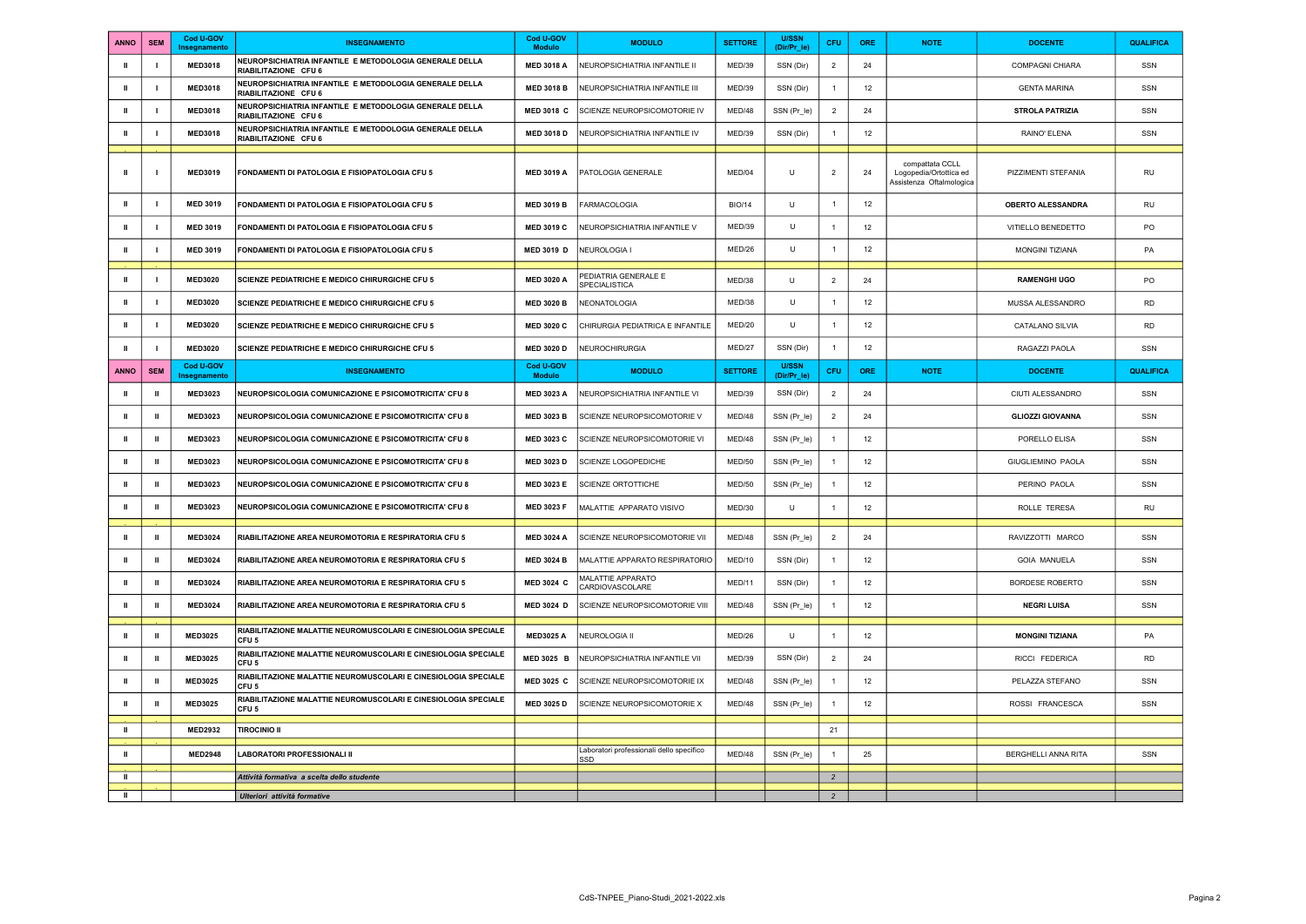| <b>ANNO</b>  | <b>SEM</b>     | Cod U-GOV<br>Insegnamento | <b>INSEGNAMENTO</b>                                                                | Cod U-GOV<br><b>Modulo</b> | <b>MODULO</b>                                   | <b>SETTORE</b> | <b>U/SSN</b><br>(Dir/Pr le) | <b>CFU</b>     | ORE        | <b>NOTE</b>                                                           | <b>DOCENTE</b>           | <b>QUALIFICA</b> |
|--------------|----------------|---------------------------|------------------------------------------------------------------------------------|----------------------------|-------------------------------------------------|----------------|-----------------------------|----------------|------------|-----------------------------------------------------------------------|--------------------------|------------------|
| $\mathbf{u}$ | $\blacksquare$ | <b>MED3018</b>            | NEUROPSICHIATRIA INFANTILE E METODOLOGIA GENERALE DELLA<br>RIABILITAZIONE CFU 6    | <b>MED 3018 A</b>          | NEUROPSICHIATRIA INFANTILE II                   | MED/39         | SSN (Dir)                   | $\overline{2}$ | 24         |                                                                       | <b>COMPAGNI CHIARA</b>   | SSN              |
| Ш            | - 1            | <b>MED3018</b>            | NEUROPSICHIATRIA INFANTILE E METODOLOGIA GENERALE DELLA<br>RIABILITAZIONE CFU 6    | <b>MED 3018 B</b>          | NEUROPSICHIATRIA INFANTILE III                  | MED/39         | SSN (Dir)                   | $\overline{1}$ | 12         |                                                                       | <b>GENTA MARINA</b>      | SSN              |
| $\mathbf{H}$ | l.             | <b>MED3018</b>            | NEUROPSICHIATRIA INFANTILE E METODOLOGIA GENERALE DELLA<br>RIABILITAZIONE CFU 6    | MED 3018 C                 | SCIENZE NEUROPSICOMOTORIE IV                    | MFD/48         | SSN (Pr_le)                 | $\overline{2}$ | 24         |                                                                       | <b>STROLA PATRIZIA</b>   | SSN              |
| $\mathbf{u}$ | $\blacksquare$ | <b>MED3018</b>            | NEUROPSICHIATRIA INFANTILE E METODOLOGIA GENERALE DELLA<br>RIABILITAZIONE CFU 6    | <b>MED 3018 D</b>          | NEUROPSICHIATRIA INFANTILE IV                   | MED/39         | SSN (Dir)                   | $\overline{1}$ | 12         |                                                                       | RAINO' ELENA             | SSN              |
|              |                |                           |                                                                                    |                            |                                                 |                |                             |                |            |                                                                       |                          |                  |
| $\mathbf{u}$ |                | <b>MED3019</b>            | FONDAMENTI DI PATOLOGIA E FISIOPATOLOGIA CFU 5                                     | <b>MED 3019 A</b>          | PATOLOGIA GENERALE                              | MED/04         | $\cup$                      | $\overline{2}$ | 24         | compattata CCLL<br>Logopedia/Ortottica ed<br>Assistenza Oftalmologica | PIZZIMENTI STEFANIA      | RU               |
| Ш            | $\blacksquare$ | <b>MED 3019</b>           | FONDAMENTI DI PATOLOGIA E FISIOPATOLOGIA CFU 5                                     | <b>MED 3019 B</b>          | <b>FARMACOLOGIA</b>                             | <b>BIO/14</b>  | U                           | $\overline{1}$ | $12\,$     |                                                                       | <b>OBERTO ALESSANDRA</b> | RU               |
| $\mathbf{u}$ | - 1            | <b>MED 3019</b>           | FONDAMENTI DI PATOLOGIA E FISIOPATOLOGIA CFU 5                                     | <b>MED 3019 C</b>          | NEUROPSICHIATRIA INFANTILE V                    | MFD/39         | U                           | $\overline{1}$ | 12         |                                                                       | VITIELLO BENEDETTO       | PO               |
| Ш            | ı              | <b>MED 3019</b>           | FONDAMENTI DI PATOLOGIA E FISIOPATOLOGIA CFU 5                                     | MED 3019 D                 | NEUROLOGIA I                                    | MED/26         | U                           | $\overline{1}$ | 12         |                                                                       | MONGINI TIZIANA          | PA               |
| ш            |                | MED3020                   | <b>SCIENZE PEDIATRICHE E MEDICO CHIRURGICHE CFU 5</b>                              | <b>MED 3020 A</b>          | PEDIATRIA GENERALE E<br>SPECIALISTICA           | MFD/38         | $\cup$                      | $\overline{2}$ | 24         |                                                                       | <b>RAMENGHI UGO</b>      | PO               |
| $\mathbf{u}$ | $\mathbf{I}$   | <b>MED3020</b>            | SCIENZE PEDIATRICHE E MEDICO CHIRURGICHE CFU 5                                     | <b>MED 3020 B</b>          | NEONATOLOGIA                                    | MED/38         | U                           | $\overline{1}$ | 12         |                                                                       | MUSSA ALESSANDRO         | <b>RD</b>        |
| $\mathbf{H}$ | $\blacksquare$ | <b>MED3020</b>            | SCIENZE PEDIATRICHE E MEDICO CHIRURGICHE CFU 5                                     | <b>MED 3020 C</b>          | CHIRURGIA PEDIATRICA E INFANTILE                | MED/20         | $\sf U$                     | $\overline{1}$ | 12         |                                                                       | CATALANO SILVIA          | <b>RD</b>        |
| $\mathbf{I}$ | $\blacksquare$ | <b>MED3020</b>            | <b>SCIENZE PEDIATRICHE E MEDICO CHIRURGICHE CFU 5</b>                              | <b>MED 3020 D</b>          | NEUROCHIRURGIA                                  | MED/27         | SSN (Dir)                   | $\overline{1}$ | 12         |                                                                       | RAGAZZI PAOLA            | SSN              |
| <b>ANNO</b>  | <b>SEM</b>     | Cod U-GOV<br>Insegnamento | <b>INSEGNAMENTO</b>                                                                | Cod U-GOV<br><b>Modulo</b> | <b>MODULO</b>                                   | <b>SETTORE</b> | <b>U/SSN</b><br>(Dir/Pr le) | CFU            | <b>ORE</b> | <b>NOTE</b>                                                           | <b>DOCENTE</b>           | QUALIFICA        |
| Ш            | $\mathbf{u}$   | <b>MED3023</b>            | NEUROPSICOLOGIA COMUNICAZIONE E PSICOMOTRICITA' CFU 8                              | <b>MED 3023 A</b>          | NEUROPSICHIATRIA INFANTILE VI                   | MED/39         | SSN (Dir)                   | $\overline{2}$ | 24         |                                                                       | CIUTI ALESSANDRO         | SSN              |
| Ш            | $\mathbf{u}$   | <b>MED3023</b>            | NEUROPSICOLOGIA COMUNICAZIONE E PSICOMOTRICITA' CFU 8                              | <b>MED 3023 B</b>          | SCIENZE NEUROPSICOMOTORIE V                     | MED/48         | SSN (Pr_le)                 | $\overline{2}$ | 24         |                                                                       | <b>GLIOZZI GIOVANNA</b>  | SSN              |
| Ш            | $\mathbf{I}$   | <b>MED3023</b>            | <b>NEUROPSICOLOGIA COMUNICAZIONE E PSICOMOTRICITA' CFU 8</b>                       | <b>MED 3023 C</b>          | SCIENZE NEUROPSICOMOTORIE VI                    | MED/48         | SSN (Pr_le)                 | $\overline{1}$ | 12         |                                                                       | PORELLO ELISA            | SSN              |
| $\mathbf{u}$ | Ш              | <b>MED3023</b>            | NEUROPSICOLOGIA COMUNICAZIONE E PSICOMOTRICITA' CFU 8                              | MED 3023 D                 | SCIENZE LOGOPEDICHE                             | MED/50         | SSN (Pr_le)                 | $\overline{1}$ | 12         |                                                                       | GIUGLIEMINO PAOLA        | SSN              |
| $\mathbf{u}$ | $\mathbf{u}$   | <b>MED3023</b>            | NEUROPSICOLOGIA COMUNICAZIONE E PSICOMOTRICITA' CFU 8                              | <b>MED 3023 E</b>          | SCIENZE ORTOTTICHE                              | <b>MED/50</b>  | SSN (Pr_le)                 | $\overline{1}$ | 12         |                                                                       | PERINO PAOLA             | SSN              |
| $\mathbf{u}$ | $\mathbf{u}$   | <b>MED3023</b>            | NEUROPSICOLOGIA COMUNICAZIONE E PSICOMOTRICITA' CFU 8                              | <b>MED 3023 F</b>          | MALATTIE APPARATO VISIVO                        | MED/30         | $\cup$                      | $\overline{1}$ | 12         |                                                                       | ROLLE TERESA             | <b>RU</b>        |
| $\mathbf{u}$ | $\mathbf{I}$   | <b>MED3024</b>            | RIABILITAZIONE AREA NEUROMOTORIA E RESPIRATORIA CFU 5                              | <b>MED 3024 A</b>          | SCIENZE NEUROPSICOMOTORIE VII                   | MED/48         | SSN (Pr_le)                 | $\overline{2}$ | 24         |                                                                       | RAVIZZOTTI MARCO         | SSN              |
| $\mathbf{u}$ | Ш              | <b>MED3024</b>            | RIABILITAZIONE AREA NEUROMOTORIA E RESPIRATORIA CFU 5                              | <b>MED 3024 B</b>          | MALATTIE APPARATO RESPIRATORIO                  | MED/10         | SSN (Dir)                   | $\overline{1}$ | 12         |                                                                       | <b>GOIA MANUELA</b>      | SSN              |
| Ш            | $\mathbf{u}$   | <b>MED3024</b>            | RIABILITAZIONE AREA NEUROMOTORIA E RESPIRATORIA CFU 5                              | MED 3024 C                 | <b>MALATTIE APPARATO</b><br>CARDIOVASCOLARE     | MFD/11         | SSN (Dir)                   | $\overline{1}$ | 12         |                                                                       | <b>BORDESE ROBERTO</b>   | SSN              |
| Ш            | $\mathbf{u}$   | <b>MED3024</b>            | RIABILITAZIONE AREA NEUROMOTORIA E RESPIRATORIA CFU 5                              | MED 3024 D                 | SCIENZE NEUROPSICOMOTORIE VIII                  | MED/48         | SSN (Pr_le)                 | $\overline{1}$ | 12         |                                                                       | <b>NEGRI LUISA</b>       | SSN              |
| Ш            | Ш              | <b>MED3025</b>            | RIABILITAZIONE MALATTIE NEUROMUSCOLARI E CINESIOLOGIA SPECIALE<br>CFU <sub>5</sub> | <b>MED3025 A</b>           | NEUROLOGIA II                                   | MED/26         | U                           |                | 12         |                                                                       | <b>MONGINI TIZIANA</b>   | PA               |
| Ш            | Ш              | <b>MED3025</b>            | RIABILITAZIONE MALATTIE NEUROMUSCOLARI E CINESIOLOGIA SPECIALE<br>CFU <sub>5</sub> | MED 3025 B                 | NEUROPSICHIATRIA INFANTILE VII                  | MED/39         | SSN (Dir)                   | $\overline{2}$ | 24         |                                                                       | RICCI FEDERICA           | <b>RD</b>        |
| $\mathbf{u}$ | $\mathbf{u}$   | <b>MED3025</b>            | RIABILITAZIONE MALATTIE NEUROMUSCOLARI E CINESIOLOGIA SPECIALE<br>CFU <sub>5</sub> | MED 3025 C                 | SCIENZE NEUROPSICOMOTORIE IX                    | MED/48         | SSN (Pr_le)                 | $\overline{1}$ | 12         |                                                                       | PELAZZA STEFANO          | SSN              |
| $\mathbf{I}$ | $\mathbf{u}$   | <b>MED3025</b>            | RIABILITAZIONE MALATTIE NEUROMUSCOLARI E CINESIOLOGIA SPECIALE<br>CFU <sub>5</sub> | <b>MED 3025 D</b>          | SCIENZE NEUROPSICOMOTORIE X                     | MED/48         | SSN (Pr_le)                 | $\overline{1}$ | 12         |                                                                       | ROSSI FRANCESCA          | SSN              |
| Ш            |                | <b>MFD2932</b>            | <b>TIROCINIO II</b>                                                                |                            |                                                 |                |                             | 21             |            |                                                                       |                          |                  |
| Ш            |                | <b>MED2948</b>            | <b>LABORATORI PROFESSIONALI II</b>                                                 |                            | Laboratori professionali dello specifico<br>SSD | MED/48         | SSN (Pr_le)                 | $\overline{1}$ | 25         |                                                                       | BERGHELLI ANNA RITA      | SSN              |
| $\mathbf{H}$ |                |                           | Attività formativa a scelta dello studente                                         |                            |                                                 |                |                             | $\overline{2}$ |            |                                                                       |                          |                  |
| $\mathbf{u}$ |                |                           | Ulteriori attività formative                                                       |                            |                                                 |                |                             | $\overline{2}$ |            |                                                                       |                          |                  |